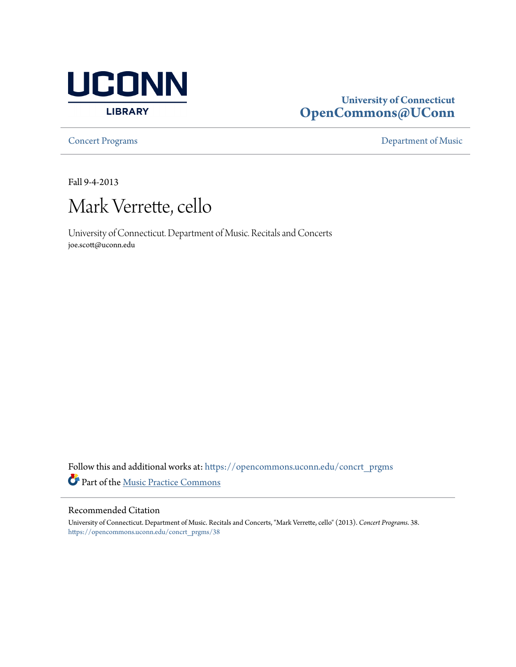

## **University of Connecticut [OpenCommons@UConn](https://opencommons.uconn.edu?utm_source=opencommons.uconn.edu%2Fconcrt_prgms%2F38&utm_medium=PDF&utm_campaign=PDFCoverPages)**

**[Concert Programs](https://opencommons.uconn.edu/concrt_prgms?utm_source=opencommons.uconn.edu%2Fconcrt_prgms%2F38&utm_medium=PDF&utm_campaign=PDFCoverPages) [Department of Music](https://opencommons.uconn.edu/music?utm_source=opencommons.uconn.edu%2Fconcrt_prgms%2F38&utm_medium=PDF&utm_campaign=PDFCoverPages)** 

Fall 9-4-2013



University of Connecticut. Department of Music. Recitals and Concerts joe.scott@uconn.edu

Follow this and additional works at: [https://opencommons.uconn.edu/concrt\\_prgms](https://opencommons.uconn.edu/concrt_prgms?utm_source=opencommons.uconn.edu%2Fconcrt_prgms%2F38&utm_medium=PDF&utm_campaign=PDFCoverPages) Part of the [Music Practice Commons](http://network.bepress.com/hgg/discipline/523?utm_source=opencommons.uconn.edu%2Fconcrt_prgms%2F38&utm_medium=PDF&utm_campaign=PDFCoverPages)

## Recommended Citation

University of Connecticut. Department of Music. Recitals and Concerts, "Mark Verrette, cello" (2013). *Concert Programs*. 38. [https://opencommons.uconn.edu/concrt\\_prgms/38](https://opencommons.uconn.edu/concrt_prgms/38?utm_source=opencommons.uconn.edu%2Fconcrt_prgms%2F38&utm_medium=PDF&utm_campaign=PDFCoverPages)